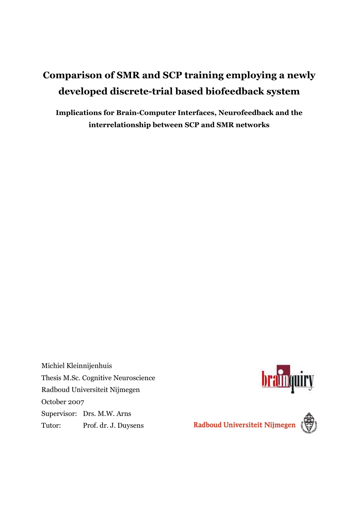# **Comparison of SMR and SCP training employing a newly developed discrete-trial based biofeedback system**

**Implications for Brain-Computer Interfaces, Neurofeedback and the interrelationship between SCP and SMR networks** 

Michiel Kleinnijenhuis Thesis M.Sc. Cognitive Neuroscience Radboud Universiteit Nijmegen October 2007 Supervisor: Drs. M.W. Arns Tutor: Prof. dr. J. Duysens



**brainquiry**<br>Radboud Universiteit Nijmegen

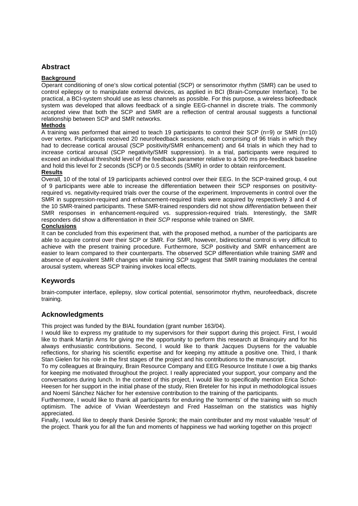#### **Abstract**

#### **Background**

Operant conditioning of one's slow cortical potential (SCP) or sensorimotor rhythm (SMR) can be used to control epilepsy or to manipulate external devices, as applied in BCI (Brain-Computer Interface). To be practical, a BCI-system should use as less channels as possible. For this purpose, a wireless biofeedback system was developed that allows feedback of a single EEG-channel in discrete trials. The commonly accepted view that both the SCP and SMR are a reflection of central arousal suggests a functional relationship between SCP and SMR networks.

#### **Methods**

A training was performed that aimed to teach 19 participants to control their SCP (n=9) or SMR (n=10) over vertex. Participants received 20 neurofeedback sessions, each comprising of 96 trials in which they had to decrease cortical arousal (SCP positivity/SMR enhancement) and 64 trials in which they had to increase cortical arousal (SCP negativity/SMR suppression). In a trial, participants were required to exceed an individual threshold level of the feedback parameter relative to a 500 ms pre-feedback baseline and hold this level for 2 seconds (SCP) or 0.5 seconds (SMR) in order to obtain reinforcement.

#### **Results**

Overall, 10 of the total of 19 participants achieved control over their EEG. In the SCP-trained group, 4 out of 9 participants were able to increase the differentiation between their SCP responses on positivityrequired vs. negativity-required trials over the course of the experiment. Improvements in control over the SMR in suppression-required and enhancement-required trials were acquired by respectively 3 and 4 of the 10 SMR-trained participants. These SMR-trained responders did not show differentiation between their SMR responses in enhancement-required vs. suppression-required trials. Interestingly, the SMR responders did show a differentiation in their SCP response while trained on SMR.

#### **Conclusions**

It can be concluded from this experiment that, with the proposed method, a number of the participants are able to acquire control over their SCP or SMR. For SMR, however, bidirectional control is very difficult to achieve with the present training procedure. Furthermore, SCP positivity and SMR enhancement are easier to learn compared to their counterparts. The observed SCP differentiation while training SMR and absence of equivalent SMR changes while training SCP suggest that SMR training modulates the central arousal system, whereas SCP training invokes local effects.

#### **Keywords**

brain-computer interface, epilepsy, slow cortical potential, sensorimotor rhythm, neurofeedback, discrete training.

#### **Acknowledgments**

This project was funded by the BIAL foundation (grant number 163/04).

I would like to express my gratitude to my supervisors for their support during this project. First, I would like to thank Martijn Arns for giving me the opportunity to perform this research at Brainquiry and for his always enthusiastic contributions. Second, I would like to thank Jacques Duysens for the valuable reflections, for sharing his scientific expertise and for keeping my attitude a positive one. Third, I thank Stan Gielen for his role in the first stages of the project and his contributions to the manuscript.

To my colleagues at Brainquiry, Brain Resource Company and EEG Resource Institute I owe a big thanks for keeping me motivated throughout the project. I really appreciated your support, your company and the conversations during lunch. In the context of this project, I would like to specifically mention Erica Schot-Heesen for her support in the initial phase of the study, Rien Breteler for his input in methodological issues and Noemí Sánchez Nácher for her extensive contribution to the training of the participants.

Furthermore, I would like to thank all participants for enduring the 'torments' of the training with so much optimism. The advice of Vivian Weerdesteyn and Fred Hasselman on the statistics was highly appreciated.

Finally, I would like to deeply thank Desirée Spronk; the main contributer and my most valuable 'result' of the project. Thank you for all the fun and moments of happiness we had working together on this project!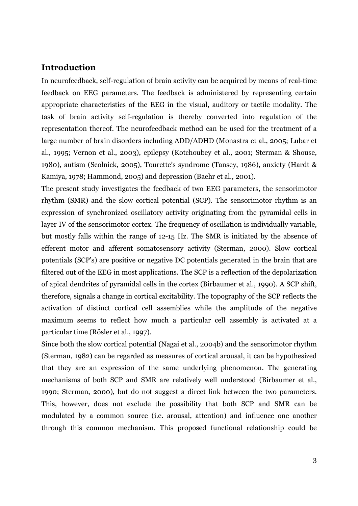## **Introduction**

In neurofeedback, self-regulation of brain activity can be acquired by means of real-time feedback on EEG parameters. The feedback is administered by representing certain appropriate characteristics of the EEG in the visual, auditory or tactile modality. The task of brain activity self-regulation is thereby converted into regulation of the representation thereof. The neurofeedback method can be used for the treatment of a large number of brain disorders including ADD/ADHD (Monastra et al., 2005; Lubar et al., 1995; Vernon et al., 2003), epilepsy (Kotchoubey et al., 2001; Sterman & Shouse, 1980), autism (Scolnick, 2005), Tourette's syndrome (Tansey, 1986), anxiety (Hardt & Kamiya, 1978; Hammond, 2005) and depression (Baehr et al., 2001).

The present study investigates the feedback of two EEG parameters, the sensorimotor rhythm (SMR) and the slow cortical potential (SCP). The sensorimotor rhythm is an expression of synchronized oscillatory activity originating from the pyramidal cells in layer IV of the sensorimotor cortex. The frequency of oscillation is individually variable, but mostly falls within the range of 12-15 Hz. The SMR is initiated by the absence of efferent motor and afferent somatosensory activity (Sterman, 2000). Slow cortical potentials (SCP's) are positive or negative DC potentials generated in the brain that are filtered out of the EEG in most applications. The SCP is a reflection of the depolarization of apical dendrites of pyramidal cells in the cortex (Birbaumer et al., 1990). A SCP shift, therefore, signals a change in cortical excitability. The topography of the SCP reflects the activation of distinct cortical cell assemblies while the amplitude of the negative maximum seems to reflect how much a particular cell assembly is activated at a particular time (Rösler et al., 1997).

Since both the slow cortical potential (Nagai et al., 2004b) and the sensorimotor rhythm (Sterman, 1982) can be regarded as measures of cortical arousal, it can be hypothesized that they are an expression of the same underlying phenomenon. The generating mechanisms of both SCP and SMR are relatively well understood (Birbaumer et al., 1990; Sterman, 2000), but do not suggest a direct link between the two parameters. This, however, does not exclude the possibility that both SCP and SMR can be modulated by a common source (i.e. arousal, attention) and influence one another through this common mechanism. This proposed functional relationship could be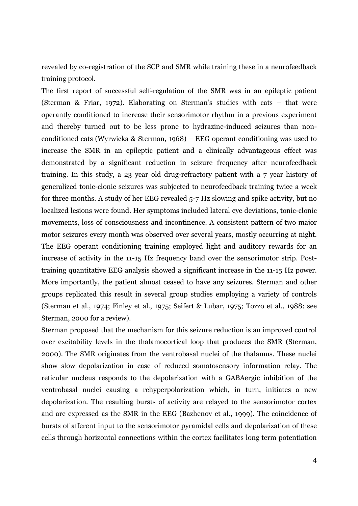revealed by co-registration of the SCP and SMR while training these in a neurofeedback training protocol.

The first report of successful self-regulation of the SMR was in an epileptic patient (Sterman & Friar, 1972). Elaborating on Sterman's studies with cats – that were operantly conditioned to increase their sensorimotor rhythm in a previous experiment and thereby turned out to be less prone to hydrazine-induced seizures than nonconditioned cats (Wyrwicka & Sterman, 1968) – EEG operant conditioning was used to increase the SMR in an epileptic patient and a clinically advantageous effect was demonstrated by a significant reduction in seizure frequency after neurofeedback training. In this study, a 23 year old drug-refractory patient with a 7 year history of generalized tonic-clonic seizures was subjected to neurofeedback training twice a week for three months. A study of her EEG revealed 5-7 Hz slowing and spike activity, but no localized lesions were found. Her symptoms included lateral eye deviations, tonic-clonic movements, loss of consciousness and incontinence. A consistent pattern of two major motor seizures every month was observed over several years, mostly occurring at night. The EEG operant conditioning training employed light and auditory rewards for an increase of activity in the 11-15 Hz frequency band over the sensorimotor strip. Posttraining quantitative EEG analysis showed a significant increase in the 11-15 Hz power. More importantly, the patient almost ceased to have any seizures. Sterman and other groups replicated this result in several group studies employing a variety of controls (Sterman et al., 1974; Finley et al., 1975; Seifert & Lubar, 1975; Tozzo et al., 1988; see Sterman, 2000 for a review).

Sterman proposed that the mechanism for this seizure reduction is an improved control over excitability levels in the thalamocortical loop that produces the SMR (Sterman, 2000). The SMR originates from the ventrobasal nuclei of the thalamus. These nuclei show slow depolarization in case of reduced somatosensory information relay. The reticular nucleus responds to the depolarization with a GABAergic inhibition of the ventrobasal nuclei causing a rehyperpolarization which, in turn, initiates a new depolarization. The resulting bursts of activity are relayed to the sensorimotor cortex and are expressed as the SMR in the EEG (Bazhenov et al., 1999). The coincidence of bursts of afferent input to the sensorimotor pyramidal cells and depolarization of these cells through horizontal connections within the cortex facilitates long term potentiation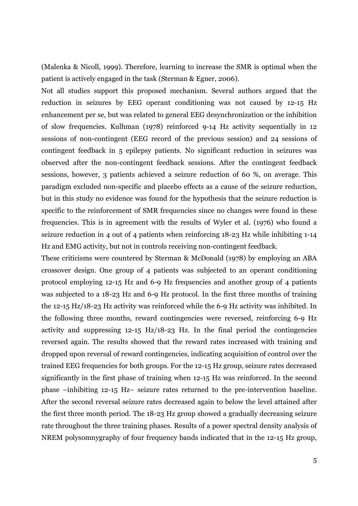(Malenka & Nicoll, 1999). Therefore, learning to increase the SMR is optimal when the patient is actively engaged in the task (Sterman & Egner, 2006).

Not all studies support this proposed mechanism. Several authors argued that the reduction in seizures by EEG operant conditioning was not caused by 12-15 Hz enhancement per se, but was related to general EEG desynchronization or the inhibition of slow frequencies. Kulhman (1978) reinforced 9-14 Hz activity sequentially in 12 sessions of non-contingent (EEG record of the previous session) and 24 sessions of contingent feedback in 5 epilepsy patients. No significant reduction in seizures was observed after the non-contingent feedback sessions. After the contingent feedback sessions, however, 3 patients achieved a seizure reduction of 60 %, on average. This paradigm excluded non-specific and placebo effects as a cause of the seizure reduction, but in this study no evidence was found for the hypothesis that the seizure reduction is specific to the reinforcement of SMR frequencies since no changes were found in these frequencies. This is in agreement with the results of Wyler et al. (1976) who found a seizure reduction in 4 out of 4 patients when reinforcing 18-23 Hz while inhibiting 1-14 Hz and EMG activity, but not in controls receiving non-contingent feedback.

These criticisms were countered by Sterman & McDonald (1978) by employing an ABA crossover design. One group of 4 patients was subjected to an operant conditioning protocol employing 12-15 Hz and 6-9 Hz frequencies and another group of 4 patients was subjected to a 18-23 Hz and 6-9 Hz protocol. In the first three months of training the 12-15 Hz/18-23 Hz activity was reinforced while the 6-9 Hz activity was inhibited. In the following three months, reward contingencies were reversed, reinforcing 6-9 Hz activity and suppressing 12-15 Hz/18-23 Hz. In the final period the contingencies reversed again. The results showed that the reward rates increased with training and dropped upon reversal of reward contingencies, indicating acquisition of control over the trained EEG frequencies for both groups. For the 12-15 Hz group, seizure rates decreased significantly in the first phase of training when 12-15 Hz was reinforced. In the second phase –inhibiting 12-15 Hz– seizure rates returned to the pre-intervention baseline. After the second reversal seizure rates decreased again to below the level attained after the first three month period. The 18-23 Hz group showed a gradually decreasing seizure rate throughout the three training phases. Results of a power spectral density analysis of NREM polysomnygraphy of four frequency bands indicated that in the 12-15 Hz group,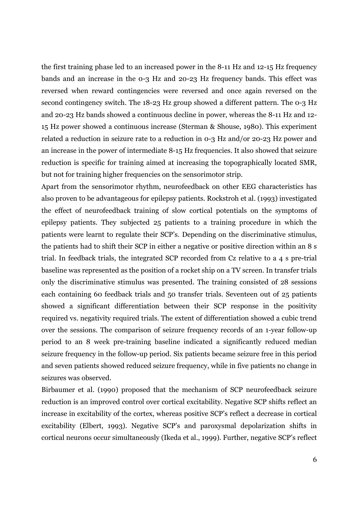the first training phase led to an increased power in the 8-11 Hz and 12-15 Hz frequency bands and an increase in the 0-3 Hz and 20-23 Hz frequency bands. This effect was reversed when reward contingencies were reversed and once again reversed on the second contingency switch. The 18-23 Hz group showed a different pattern. The 0-3 Hz and 20-23 Hz bands showed a continuous decline in power, whereas the 8-11 Hz and 12- 15 Hz power showed a continuous increase (Sterman & Shouse, 1980). This experiment related a reduction in seizure rate to a reduction in 0-3 Hz and/or 20-23 Hz power and an increase in the power of intermediate 8-15 Hz frequencies. It also showed that seizure reduction is specific for training aimed at increasing the topographically located SMR, but not for training higher frequencies on the sensorimotor strip.

Apart from the sensorimotor rhythm, neurofeedback on other EEG characteristics has also proven to be advantageous for epilepsy patients. Rockstroh et al. (1993) investigated the effect of neurofeedback training of slow cortical potentials on the symptoms of epilepsy patients. They subjected 25 patients to a training procedure in which the patients were learnt to regulate their SCP's. Depending on the discriminative stimulus, the patients had to shift their SCP in either a negative or positive direction within an 8 s trial. In feedback trials, the integrated SCP recorded from Cz relative to a 4 s pre-trial baseline was represented as the position of a rocket ship on a TV screen. In transfer trials only the discriminative stimulus was presented. The training consisted of 28 sessions each containing 60 feedback trials and 50 transfer trials. Seventeen out of 25 patients showed a significant differentiation between their SCP response in the positivity required vs. negativity required trials. The extent of differentiation showed a cubic trend over the sessions. The comparison of seizure frequency records of an 1-year follow-up period to an 8 week pre-training baseline indicated a significantly reduced median seizure frequency in the follow-up period. Six patients became seizure free in this period and seven patients showed reduced seizure frequency, while in five patients no change in seizures was observed.

Birbaumer et al. (1990) proposed that the mechanism of SCP neurofeedback seizure reduction is an improved control over cortical excitability. Negative SCP shifts reflect an increase in excitability of the cortex, whereas positive SCP's reflect a decrease in cortical excitability (Elbert, 1993). Negative SCP's and paroxysmal depolarization shifts in cortical neurons occur simultaneously (Ikeda et al., 1999). Further, negative SCP's reflect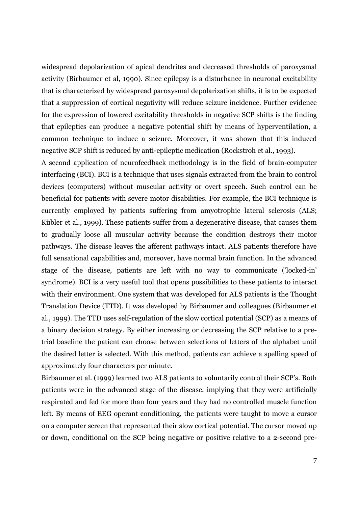widespread depolarization of apical dendrites and decreased thresholds of paroxysmal activity (Birbaumer et al, 1990). Since epilepsy is a disturbance in neuronal excitability that is characterized by widespread paroxysmal depolarization shifts, it is to be expected that a suppression of cortical negativity will reduce seizure incidence. Further evidence for the expression of lowered excitability thresholds in negative SCP shifts is the finding that epileptics can produce a negative potential shift by means of hyperventilation, a common technique to induce a seizure. Moreover, it was shown that this induced negative SCP shift is reduced by anti-epileptic medication (Rockstroh et al., 1993).

A second application of neurofeedback methodology is in the field of brain-computer interfacing (BCI). BCI is a technique that uses signals extracted from the brain to control devices (computers) without muscular activity or overt speech. Such control can be beneficial for patients with severe motor disabilities. For example, the BCI technique is currently employed by patients suffering from amyotrophic lateral sclerosis (ALS; Kübler et al., 1999). These patients suffer from a degenerative disease, that causes them to gradually loose all muscular activity because the condition destroys their motor pathways. The disease leaves the afferent pathways intact. ALS patients therefore have full sensational capabilities and, moreover, have normal brain function. In the advanced stage of the disease, patients are left with no way to communicate ('locked-in' syndrome). BCI is a very useful tool that opens possibilities to these patients to interact with their environment. One system that was developed for ALS patients is the Thought Translation Device (TTD). It was developed by Birbaumer and colleagues (Birbaumer et al., 1999). The TTD uses self-regulation of the slow cortical potential (SCP) as a means of a binary decision strategy. By either increasing or decreasing the SCP relative to a pretrial baseline the patient can choose between selections of letters of the alphabet until the desired letter is selected. With this method, patients can achieve a spelling speed of approximately four characters per minute.

Birbaumer et al. (1999) learned two ALS patients to voluntarily control their SCP's. Both patients were in the advanced stage of the disease, implying that they were artificially respirated and fed for more than four years and they had no controlled muscle function left. By means of EEG operant conditioning, the patients were taught to move a cursor on a computer screen that represented their slow cortical potential. The cursor moved up or down, conditional on the SCP being negative or positive relative to a 2-second pre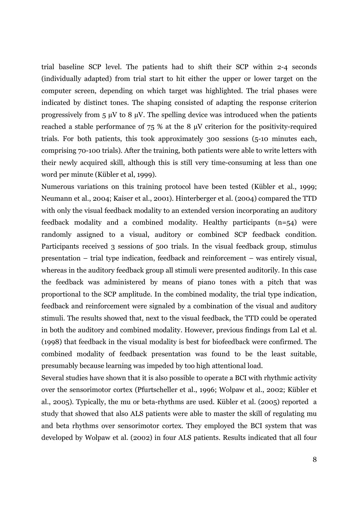trial baseline SCP level. The patients had to shift their SCP within 2-4 seconds (individually adapted) from trial start to hit either the upper or lower target on the computer screen, depending on which target was highlighted. The trial phases were indicated by distinct tones. The shaping consisted of adapting the response criterion progressively from  $5 \mu V$  to  $8 \mu V$ . The spelling device was introduced when the patients reached a stable performance of 75 % at the 8 µV criterion for the positivity-required trials. For both patients, this took approximately 300 sessions (5-10 minutes each, comprising 70-100 trials). After the training, both patients were able to write letters with their newly acquired skill, although this is still very time-consuming at less than one word per minute (Kübler et al, 1999).

Numerous variations on this training protocol have been tested (Kübler et al., 1999; Neumann et al., 2004; Kaiser et al., 2001). Hinterberger et al. (2004) compared the TTD with only the visual feedback modality to an extended version incorporating an auditory feedback modality and a combined modality. Healthy participants (n=54) were randomly assigned to a visual, auditory or combined SCP feedback condition. Participants received 3 sessions of 500 trials. In the visual feedback group, stimulus presentation – trial type indication, feedback and reinforcement – was entirely visual, whereas in the auditory feedback group all stimuli were presented auditorily. In this case the feedback was administered by means of piano tones with a pitch that was proportional to the SCP amplitude. In the combined modality, the trial type indication, feedback and reinforcement were signaled by a combination of the visual and auditory stimuli. The results showed that, next to the visual feedback, the TTD could be operated in both the auditory and combined modality. However, previous findings from Lal et al. (1998) that feedback in the visual modality is best for biofeedback were confirmed. The combined modality of feedback presentation was found to be the least suitable, presumably because learning was impeded by too high attentional load.

Several studies have shown that it is also possible to operate a BCI with rhythmic activity over the sensorimotor cortex (Pfurtscheller et al., 1996; Wolpaw et al., 2002; Kübler et al., 2005). Typically, the mu or beta-rhythms are used. Kübler et al. (2005) reported a study that showed that also ALS patients were able to master the skill of regulating mu and beta rhythms over sensorimotor cortex. They employed the BCI system that was developed by Wolpaw et al. (2002) in four ALS patients. Results indicated that all four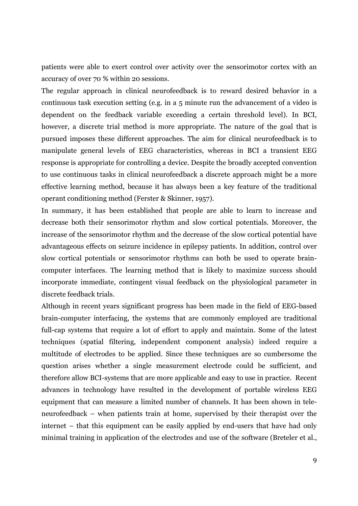patients were able to exert control over activity over the sensorimotor cortex with an accuracy of over 70 % within 20 sessions.

The regular approach in clinical neurofeedback is to reward desired behavior in a continuous task execution setting (e.g. in a 5 minute run the advancement of a video is dependent on the feedback variable exceeding a certain threshold level). In BCI, however, a discrete trial method is more appropriate. The nature of the goal that is pursued imposes these different approaches. The aim for clinical neurofeedback is to manipulate general levels of EEG characteristics, whereas in BCI a transient EEG response is appropriate for controlling a device. Despite the broadly accepted convention to use continuous tasks in clinical neurofeedback a discrete approach might be a more effective learning method, because it has always been a key feature of the traditional operant conditioning method (Ferster & Skinner, 1957).

In summary, it has been established that people are able to learn to increase and decrease both their sensorimotor rhythm and slow cortical potentials. Moreover, the increase of the sensorimotor rhythm and the decrease of the slow cortical potential have advantageous effects on seizure incidence in epilepsy patients. In addition, control over slow cortical potentials or sensorimotor rhythms can both be used to operate braincomputer interfaces. The learning method that is likely to maximize success should incorporate immediate, contingent visual feedback on the physiological parameter in discrete feedback trials.

Although in recent years significant progress has been made in the field of EEG-based brain-computer interfacing, the systems that are commonly employed are traditional full-cap systems that require a lot of effort to apply and maintain. Some of the latest techniques (spatial filtering, independent component analysis) indeed require a multitude of electrodes to be applied. Since these techniques are so cumbersome the question arises whether a single measurement electrode could be sufficient, and therefore allow BCI-systems that are more applicable and easy to use in practice. Recent advances in technology have resulted in the development of portable wireless EEG equipment that can measure a limited number of channels. It has been shown in teleneurofeedback – when patients train at home, supervised by their therapist over the internet – that this equipment can be easily applied by end-users that have had only minimal training in application of the electrodes and use of the software (Breteler et al.,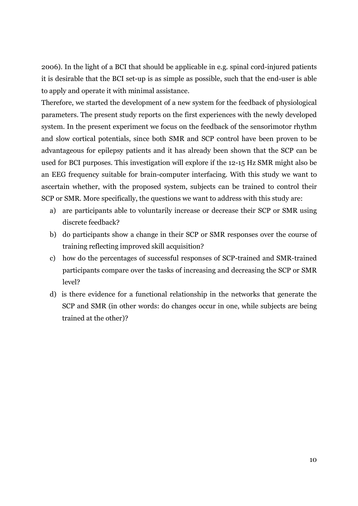2006). In the light of a BCI that should be applicable in e.g. spinal cord-injured patients it is desirable that the BCI set-up is as simple as possible, such that the end-user is able to apply and operate it with minimal assistance.

Therefore, we started the development of a new system for the feedback of physiological parameters. The present study reports on the first experiences with the newly developed system. In the present experiment we focus on the feedback of the sensorimotor rhythm and slow cortical potentials, since both SMR and SCP control have been proven to be advantageous for epilepsy patients and it has already been shown that the SCP can be used for BCI purposes. This investigation will explore if the 12-15 Hz SMR might also be an EEG frequency suitable for brain-computer interfacing. With this study we want to ascertain whether, with the proposed system, subjects can be trained to control their SCP or SMR. More specifically, the questions we want to address with this study are:

- a) are participants able to voluntarily increase or decrease their SCP or SMR using discrete feedback?
- b) do participants show a change in their SCP or SMR responses over the course of training reflecting improved skill acquisition?
- c) how do the percentages of successful responses of SCP-trained and SMR-trained participants compare over the tasks of increasing and decreasing the SCP or SMR level?
- d) is there evidence for a functional relationship in the networks that generate the SCP and SMR (in other words: do changes occur in one, while subjects are being trained at the other)?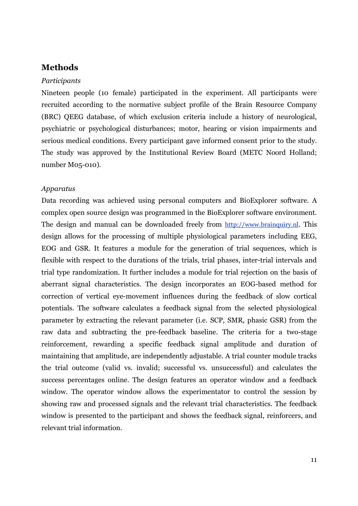## **Methods**

#### *Participants*

Nineteen people (10 female) participated in the experiment. All participants were recruited according to the normative subject profile of the Brain Resource Company (BRC) QEEG database, of which exclusion criteria include a history of neurological, psychiatric or psychological disturbances; motor, hearing or vision impairments and serious medical conditions. Every participant gave informed consent prior to the study. The study was approved by the Institutional Review Board (METC Noord Holland; number M05-010).

#### *Apparatus*

Data recording was achieved using personal computers and BioExplorer software. A complex open source design was programmed in the BioExplorer software environment. The design and manual can be downloaded freely from http://www.brainquiry.nl. This design allows for the processing of multiple physiological parameters including EEG, EOG and GSR. It features a module for the generation of trial sequences, which is flexible with respect to the durations of the trials, trial phases, inter-trial intervals and trial type randomization. It further includes a module for trial rejection on the basis of aberrant signal characteristics. The design incorporates an EOG-based method for correction of vertical eye-movement influences during the feedback of slow cortical potentials. The software calculates a feedback signal from the selected physiological parameter by extracting the relevant parameter (i.e. SCP, SMR, phasic GSR) from the raw data and subtracting the pre-feedback baseline. The criteria for a two-stage reinforcement, rewarding a specific feedback signal amplitude and duration of maintaining that amplitude, are independently adjustable. A trial counter module tracks the trial outcome (valid vs. invalid; successful vs. unsuccessful) and calculates the success percentages online. The design features an operator window and a feedback window. The operator window allows the experimentator to control the session by showing raw and processed signals and the relevant trial characteristics. The feedback window is presented to the participant and shows the feedback signal, reinforcers, and relevant trial information.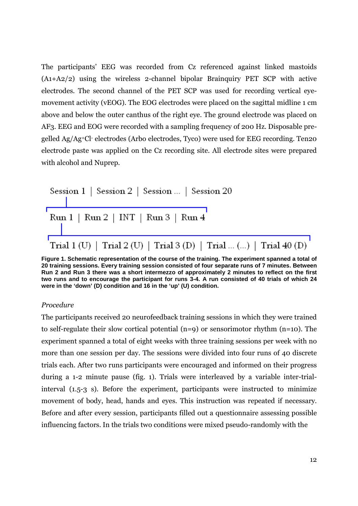The participants' EEG was recorded from Cz referenced against linked mastoids (A1+A2/2) using the wireless 2-channel bipolar Brainquiry PET SCP with active electrodes. The second channel of the PET SCP was used for recording vertical eyemovement activity (vEOG). The EOG electrodes were placed on the sagittal midline 1 cm above and below the outer canthus of the right eye. The ground electrode was placed on AF3. EEG and EOG were recorded with a sampling frequency of 200 Hz. Disposable pregelled Ag/Ag<sup>+</sup>Cl- electrodes (Arbo electrodes, Tyco) were used for EEG recording. Ten20 electrode paste was applied on the Cz recording site. All electrode sites were prepared with alcohol and Nuprep.

| Session 1   Session 2   Session    Session 20                      |
|--------------------------------------------------------------------|
| Run 1   Run 2   INT   Run 3   Run 4                                |
| Trial 1 (U)   Trial 2 (U)   Trial 3 (D)   Trial  ()   Trial 40 (D) |

**Figure 1. Schematic representation of the course of the training. The experiment spanned a total of 20 training sessions. Every training session consisted of four separate runs of 7 minutes. Between Run 2 and Run 3 there was a short intermezzo of approximately 2 minutes to reflect on the first two runs and to encourage the participant for runs 3-4. A run consisted of 40 trials of which 24 were in the 'down' (D) condition and 16 in the 'up' (U) condition.** 

#### *Procedure*

The participants received 20 neurofeedback training sessions in which they were trained to self-regulate their slow cortical potential (n=9) or sensorimotor rhythm (n=10). The experiment spanned a total of eight weeks with three training sessions per week with no more than one session per day. The sessions were divided into four runs of 40 discrete trials each. After two runs participants were encouraged and informed on their progress during a 1-2 minute pause (fig. 1). Trials were interleaved by a variable inter-trialinterval (1.5-3 s). Before the experiment, participants were instructed to minimize movement of body, head, hands and eyes. This instruction was repeated if necessary. Before and after every session, participants filled out a questionnaire assessing possible influencing factors. In the trials two conditions were mixed pseudo-randomly with the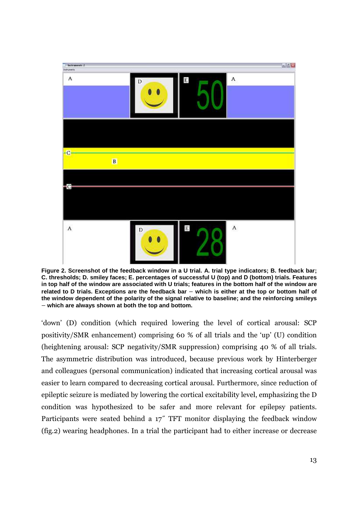

**Figure 2. Screenshot of the feedback window in a U trial. A. trial type indicators; B. feedback bar; C. thresholds; D. smiley faces; E. percentages of successful U (top) and D (bottom) trials. Features in top half of the window are associated with U trials; features in the bottom half of the window are**  related to D trials. Exceptions are the feedback bar – which is either at the top or bottom half of **the window dependent of the polarity of the signal relative to baseline; and the reinforcing smileys**  – **which are always shown at both the top and bottom.**

'down' (D) condition (which required lowering the level of cortical arousal: SCP positivity/SMR enhancement) comprising 60 % of all trials and the 'up' (U) condition (heightening arousal: SCP negativity/SMR suppression) comprising 40 % of all trials. The asymmetric distribution was introduced, because previous work by Hinterberger and colleagues (personal communication) indicated that increasing cortical arousal was easier to learn compared to decreasing cortical arousal. Furthermore, since reduction of epileptic seizure is mediated by lowering the cortical excitability level, emphasizing the D condition was hypothesized to be safer and more relevant for epilepsy patients. Participants were seated behind a 17˝ TFT monitor displaying the feedback window (fig.2) wearing headphones. In a trial the participant had to either increase or decrease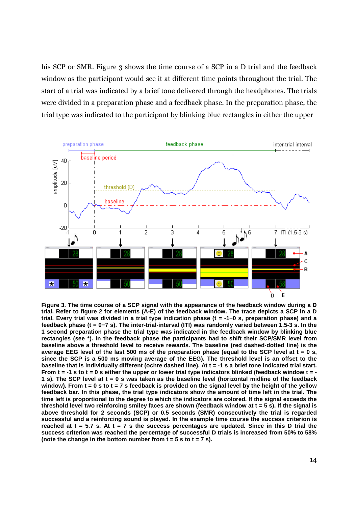his SCP or SMR. Figure 3 shows the time course of a SCP in a D trial and the feedback window as the participant would see it at different time points throughout the trial. The start of a trial was indicated by a brief tone delivered through the headphones. The trials were divided in a preparation phase and a feedback phase. In the preparation phase, the trial type was indicated to the participant by blinking blue rectangles in either the upper



**Figure 3. The time course of a SCP signal with the appearance of the feedback window during a D trial. Refer to figure 2 for elements (A-E) of the feedback window. The trace depicts a SCP in a D trial. Every trial was divided in a trial type indication phase (t = -1−0 s, preparation phase) and a feedback phase (t = 0−7 s). The inter-trial-interval (ITI) was randomly varied between 1.5-3 s. In the 1 second preparation phase the trial type was indicated in the feedback window by blinking blue rectangles (see \*). In the feedback phase the participants had to shift their SCP/SMR level from baseline above a threshold level to receive rewards. The baseline (red dashed-dotted line) is the average EEG level of the last 500 ms of the preparation phase (equal to the SCP level at t = 0 s, since the SCP is a 500 ms moving average of the EEG). The threshold level is an offset to the baseline that is individually different (ochre dashed line). At t = -1 s a brief tone indicated trial start. From t = -1 s to t = 0 s either the upper or lower trial type indicators blinked (feedback window t = - 1 s). The SCP level at t = 0 s was taken as the baseline level (horizontal midline of the feedback window). From t = 0 s to t = 7 s feedback is provided on the signal level by the height of the yellow feedback bar. In this phase, the trial type indicators show the amount of time left in the trial. The time left is proportional to the degree to which the indicators are colored. If the signal exceeds the threshold level two reinforcing smiley faces are shown (feedback window at t = 5 s). If the signal is above threshold for 2 seconds (SCP) or 0.5 seconds (SMR) consecutively the trial is regarded successful and a reinforcing sound is played. In the example time course the success criterion is reached at t = 5.7 s. At t = 7 s the success percentages are updated. Since in this D trial the success criterion was reached the percentage of successful D trials is increased from 50% to 58% (note the change in the bottom number from t = 5 s to t = 7 s).**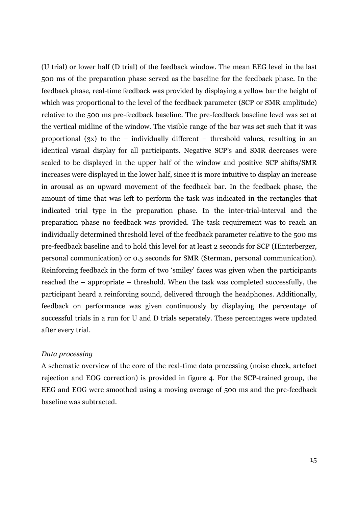(U trial) or lower half (D trial) of the feedback window. The mean EEG level in the last 500 ms of the preparation phase served as the baseline for the feedback phase. In the feedback phase, real-time feedback was provided by displaying a yellow bar the height of which was proportional to the level of the feedback parameter (SCP or SMR amplitude) relative to the 500 ms pre-feedback baseline. The pre-feedback baseline level was set at the vertical midline of the window. The visible range of the bar was set such that it was proportional (3x) to the – individually different – threshold values, resulting in an identical visual display for all participants. Negative SCP's and SMR decreases were scaled to be displayed in the upper half of the window and positive SCP shifts/SMR increases were displayed in the lower half, since it is more intuitive to display an increase in arousal as an upward movement of the feedback bar. In the feedback phase, the amount of time that was left to perform the task was indicated in the rectangles that indicated trial type in the preparation phase. In the inter-trial-interval and the preparation phase no feedback was provided. The task requirement was to reach an individually determined threshold level of the feedback parameter relative to the 500 ms pre-feedback baseline and to hold this level for at least 2 seconds for SCP (Hinterberger, personal communication) or 0.5 seconds for SMR (Sterman, personal communication). Reinforcing feedback in the form of two 'smiley' faces was given when the participants reached the – appropriate – threshold. When the task was completed successfully, the participant heard a reinforcing sound, delivered through the headphones. Additionally, feedback on performance was given continuously by displaying the percentage of successful trials in a run for U and D trials seperately. These percentages were updated after every trial.

#### *Data processing*

A schematic overview of the core of the real-time data processing (noise check, artefact rejection and EOG correction) is provided in figure 4. For the SCP-trained group, the EEG and EOG were smoothed using a moving average of 500 ms and the pre-feedback baseline was subtracted.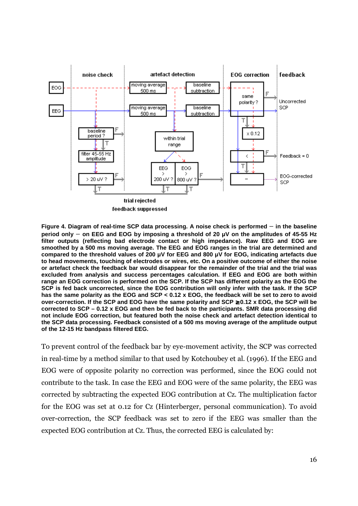

**Figure 4. Diagram of real-time SCP data processing. A noise check is performed** – **in the baseline period only** – **on EEG and EOG by imposing a threshold of 20 µV on the amplitudes of 45-55 Hz filter outputs (reflecting bad electrode contact or high impedance). Raw EEG and EOG are smoothed by a 500 ms moving average. The EEG and EOG ranges in the trial are determined and compared to the threshold values of 200 µV for EEG and 800 µV for EOG, indicating artefacts due to head movements, touching of electrodes or wires, etc. On a positive outcome of either the noise or artefact check the feedback bar would disappear for the remainder of the trial and the trial was excluded from analysis and success percentages calculation. If EEG and EOG are both within range an EOG correction is performed on the SCP. If the SCP has different polarity as the EOG the SCP is fed back uncorrected, since the EOG contribution will only infer with the task. If the SCP has the same polarity as the EOG and SCP < 0.12 x EOG, the feedback will be set to zero to avoid over-correction. If the SCP and EOG have the same polarity and SCP** ≥ **0.12 x EOG, the SCP will be corrected to SCP – 0.12 x EOG and then be fed back to the participants. SMR data processing did not include EOG correction, but featured both the noise check and artefact detection identical to the SCP data processing. Feedback consisted of a 500 ms moving average of the amplitude output of the 12-15 Hz bandpass filtered EEG.** 

To prevent control of the feedback bar by eye-movement activity, the SCP was corrected in real-time by a method similar to that used by Kotchoubey et al. (1996). If the EEG and EOG were of opposite polarity no correction was performed, since the EOG could not contribute to the task. In case the EEG and EOG were of the same polarity, the EEG was corrected by subtracting the expected EOG contribution at Cz. The multiplication factor for the EOG was set at 0.12 for Cz (Hinterberger, personal communication). To avoid over-correction, the SCP feedback was set to zero if the EEG was smaller than the expected EOG contribution at Cz. Thus, the corrected EEG is calculated by: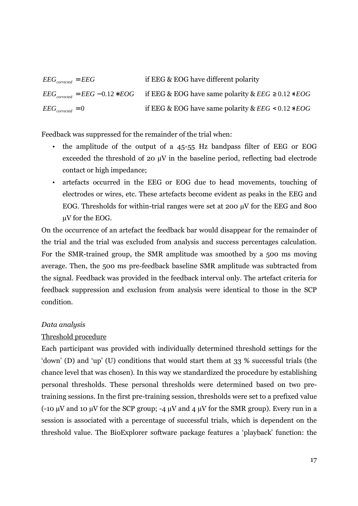$EEG<sub>corrected</sub> = EEG$  if EEG & EOG have different polarity  $EEG_{corrected} = EEG - 0.12 * EOG$  if  $EEG & EOG$  have same polarity  $\&EEG \geq 0.12 * EOG$  $EEG<sub>corrected</sub> = 0$  **if EEG** & EOG have same polarity &  $EEG < 0.12 * EOG$ 

Feedback was suppressed for the remainder of the trial when:

- the amplitude of the output of a 45-55 Hz bandpass filter of EEG or EOG exceeded the threshold of 20 µV in the baseline period, reflecting bad electrode contact or high impedance;
- artefacts occurred in the EEG or EOG due to head movements, touching of electrodes or wires, etc. These artefacts become evident as peaks in the EEG and EOG. Thresholds for within-trial ranges were set at 200 µV for the EEG and 800 µV for the EOG.

On the occurrence of an artefact the feedback bar would disappear for the remainder of the trial and the trial was excluded from analysis and success percentages calculation. For the SMR-trained group, the SMR amplitude was smoothed by a 500 ms moving average. Then, the 500 ms pre-feedback baseline SMR amplitude was subtracted from the signal. Feedback was provided in the feedback interval only. The artefact criteria for feedback suppression and exclusion from analysis were identical to those in the SCP condition.

#### *Data analysis*

#### Threshold procedure

Each participant was provided with individually determined threshold settings for the 'down' (D) and 'up' (U) conditions that would start them at 33 % successful trials (the chance level that was chosen). In this way we standardized the procedure by establishing personal thresholds. These personal thresholds were determined based on two pretraining sessions. In the first pre-training session, thresholds were set to a prefixed value (-10  $\mu$ V and 10  $\mu$ V for the SCP group; -4  $\mu$ V and 4  $\mu$ V for the SMR group). Every run in a session is associated with a percentage of successful trials, which is dependent on the threshold value. The BioExplorer software package features a 'playback' function: the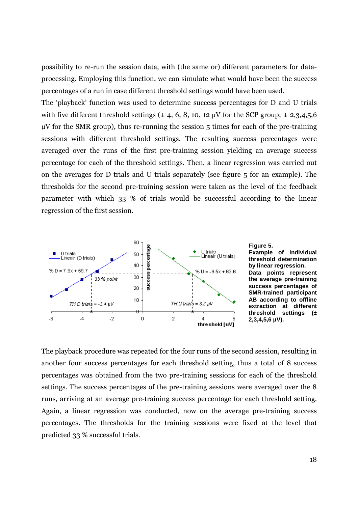possibility to re-run the session data, with (the same or) different parameters for dataprocessing. Employing this function, we can simulate what would have been the success percentages of a run in case different threshold settings would have been used.

The 'playback' function was used to determine success percentages for D and U trials with five different threshold settings ( $\pm$  4, 6, 8, 10, 12 µV for the SCP group;  $\pm$  2,3,4,5,6  $\mu$ V for the SMR group), thus re-running the session 5 times for each of the pre-training sessions with different threshold settings. The resulting success percentages were averaged over the runs of the first pre-training session yielding an average success percentage for each of the threshold settings. Then, a linear regression was carried out on the averages for D trials and U trials separately (see figure 5 for an example). The thresholds for the second pre-training session were taken as the level of the feedback parameter with which 33 % of trials would be successful according to the linear regression of the first session.



**Figure 5. Example of individual threshold determination by linear regression. Data points represent the average pre-training success percentages of SMR-trained participant AB according to offline extraction at different threshold settings (± 2,3,4,5,6 µV).**

The playback procedure was repeated for the four runs of the second session, resulting in another four success percentages for each threshold setting, thus a total of 8 success percentages was obtained from the two pre-training sessions for each of the threshold settings. The success percentages of the pre-training sessions were averaged over the 8 runs, arriving at an average pre-training success percentage for each threshold setting. Again, a linear regression was conducted, now on the average pre-training success percentages. The thresholds for the training sessions were fixed at the level that predicted 33 % successful trials.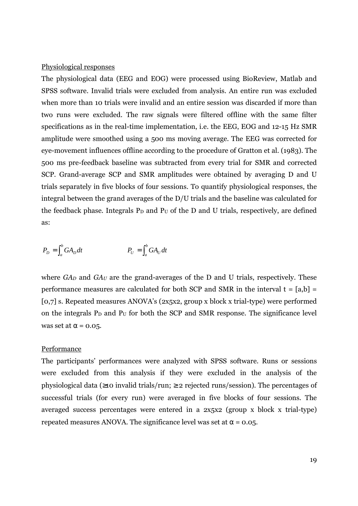#### Physiological responses

The physiological data (EEG and EOG) were processed using BioReview, Matlab and SPSS software. Invalid trials were excluded from analysis. An entire run was excluded when more than 10 trials were invalid and an entire session was discarded if more than two runs were excluded. The raw signals were filtered offline with the same filter specifications as in the real-time implementation, i.e. the EEG, EOG and 12-15 Hz SMR amplitude were smoothed using a 500 ms moving average. The EEG was corrected for eye-movement influences offline according to the procedure of Gratton et al. (1983). The 500 ms pre-feedback baseline was subtracted from every trial for SMR and corrected SCP. Grand-average SCP and SMR amplitudes were obtained by averaging D and U trials separately in five blocks of four sessions. To quantify physiological responses, the integral between the grand averages of the D/U trials and the baseline was calculated for the feedback phase. Integrals  $P_D$  and  $P_U$  of the D and U trials, respectively, are defined as:

$$
P_D = \int_a^b G A_D dt
$$
 
$$
P_U = \int_a^b G A_U dt
$$

where  $GA<sub>D</sub>$  and  $GA<sub>U</sub>$  are the grand-averages of the D and U trials, respectively. These performance measures are calculated for both SCP and SMR in the interval  $t = [a,b] =$ [0,7] s. Repeated measures ANOVA's (2x5x2, group x block x trial-type) were performed on the integrals  $P_D$  and  $P_U$  for both the SCP and SMR response. The significance level was set at  $\alpha$  = 0.05.

#### Performance

The participants' performances were analyzed with SPSS software. Runs or sessions were excluded from this analysis if they were excluded in the analysis of the physiological data (≥10 invalid trials/run; ≥ 2 rejected runs/session). The percentages of successful trials (for every run) were averaged in five blocks of four sessions. The averaged success percentages were entered in a 2x5x2 (group x block x trial-type) repeated measures ANOVA. The significance level was set at  $\alpha = 0.05$ .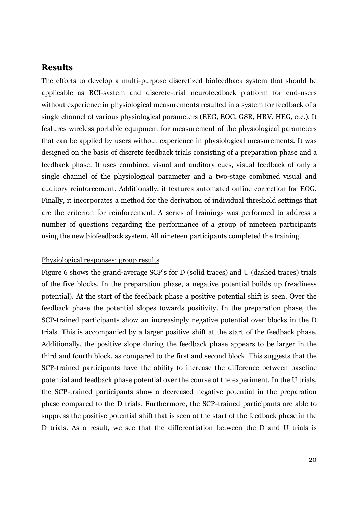## **Results**

The efforts to develop a multi-purpose discretized biofeedback system that should be applicable as BCI-system and discrete-trial neurofeedback platform for end-users without experience in physiological measurements resulted in a system for feedback of a single channel of various physiological parameters (EEG, EOG, GSR, HRV, HEG, etc.). It features wireless portable equipment for measurement of the physiological parameters that can be applied by users without experience in physiological measurements. It was designed on the basis of discrete feedback trials consisting of a preparation phase and a feedback phase. It uses combined visual and auditory cues, visual feedback of only a single channel of the physiological parameter and a two-stage combined visual and auditory reinforcement. Additionally, it features automated online correction for EOG. Finally, it incorporates a method for the derivation of individual threshold settings that are the criterion for reinforcement. A series of trainings was performed to address a number of questions regarding the performance of a group of nineteen participants using the new biofeedback system. All nineteen participants completed the training.

#### Physiological responses: group results

Figure 6 shows the grand-average SCP's for D (solid traces) and U (dashed traces) trials of the five blocks. In the preparation phase, a negative potential builds up (readiness potential). At the start of the feedback phase a positive potential shift is seen. Over the feedback phase the potential slopes towards positivity. In the preparation phase, the SCP-trained participants show an increasingly negative potential over blocks in the D trials. This is accompanied by a larger positive shift at the start of the feedback phase. Additionally, the positive slope during the feedback phase appears to be larger in the third and fourth block, as compared to the first and second block. This suggests that the SCP-trained participants have the ability to increase the difference between baseline potential and feedback phase potential over the course of the experiment. In the U trials, the SCP-trained participants show a decreased negative potential in the preparation phase compared to the D trials. Furthermore, the SCP-trained participants are able to suppress the positive potential shift that is seen at the start of the feedback phase in the D trials. As a result, we see that the differentiation between the D and U trials is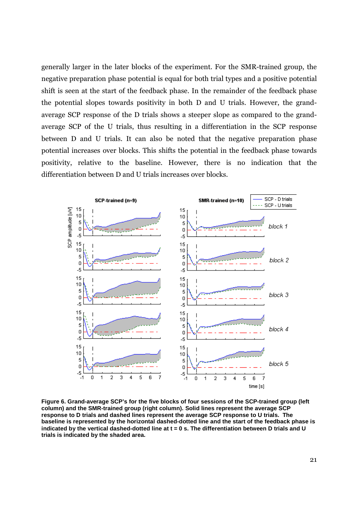generally larger in the later blocks of the experiment. For the SMR-trained group, the negative preparation phase potential is equal for both trial types and a positive potential shift is seen at the start of the feedback phase. In the remainder of the feedback phase the potential slopes towards positivity in both D and U trials. However, the grandaverage SCP response of the D trials shows a steeper slope as compared to the grandaverage SCP of the U trials, thus resulting in a differentiation in the SCP response between D and U trials. It can also be noted that the negative preparation phase potential increases over blocks. This shifts the potential in the feedback phase towards positivity, relative to the baseline. However, there is no indication that the differentiation between D and U trials increases over blocks.



**Figure 6. Grand-average SCP's for the five blocks of four sessions of the SCP-trained group (left column) and the SMR-trained group (right column). Solid lines represent the average SCP response to D trials and dashed lines represent the average SCP response to U trials. The baseline is represented by the horizontal dashed-dotted line and the start of the feedback phase is indicated by the vertical dashed-dotted line at t = 0 s. The differentiation between D trials and U trials is indicated by the shaded area.**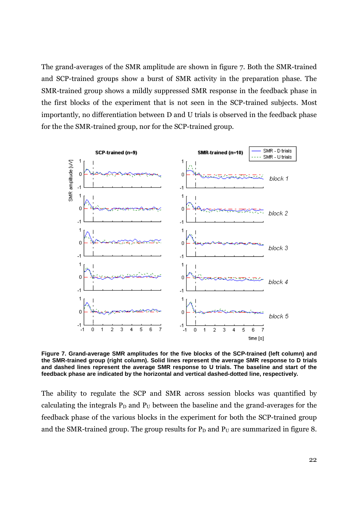The grand-averages of the SMR amplitude are shown in figure 7. Both the SMR-trained and SCP-trained groups show a burst of SMR activity in the preparation phase. The SMR-trained group shows a mildly suppressed SMR response in the feedback phase in the first blocks of the experiment that is not seen in the SCP-trained subjects. Most importantly, no differentiation between D and U trials is observed in the feedback phase for the the SMR-trained group, nor for the SCP-trained group.



**Figure 7. Grand-average SMR amplitudes for the five blocks of the SCP-trained (left column) and the SMR-trained group (right column). Solid lines represent the average SMR response to D trials and dashed lines represent the average SMR response to U trials. The baseline and start of the feedback phase are indicated by the horizontal and vertical dashed-dotted line, respectively.**

The ability to regulate the SCP and SMR across session blocks was quantified by calculating the integrals  $P_D$  and  $P_U$  between the baseline and the grand-averages for the feedback phase of the various blocks in the experiment for both the SCP-trained group and the SMR-trained group. The group results for  $P_D$  and  $P_U$  are summarized in figure 8.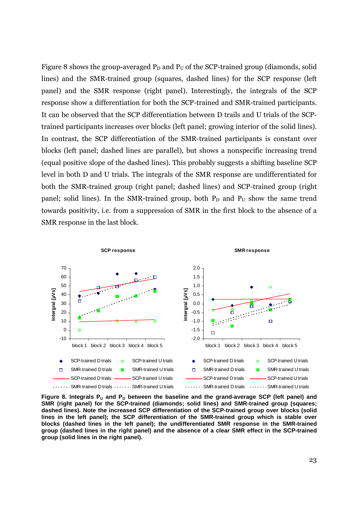Figure 8 shows the group-averaged  $P_D$  and  $P_U$  of the SCP-trained group (diamonds, solid lines) and the SMR-trained group (squares, dashed lines) for the SCP response (left panel) and the SMR response (right panel). Interestingly, the integrals of the SCP response show a differentiation for both the SCP-trained and SMR-trained participants. It can be observed that the SCP differentiation between D trails and U trials of the SCPtrained participants increases over blocks (left panel; growing interior of the solid lines). In contrast, the SCP differentiation of the SMR-trained participants is constant over blocks (left panel; dashed lines are parallel), but shows a nonspecific increasing trend (equal positive slope of the dashed lines). This probably suggests a shifting baseline SCP level in both D and U trials. The integrals of the SMR response are undifferentiated for both the SMR-trained group (right panel; dashed lines) and SCP-trained group (right panel; solid lines). In the SMR-trained group, both  $P_D$  and  $P_U$  show the same trend towards positivity, i.e. from a suppression of SMR in the first block to the absence of a SMR response in the last block.



**Figure 8. Integrals PU and PD between the baseline and the grand-average SCP (left panel) and SMR (right panel) for the SCP-trained (diamonds; solid lines) and SMR-trained group (squares; dashed lines). Note the increased SCP differentiation of the SCP-trained group over blocks (solid lines in the left panel); the SCP differentiation of the SMR-trained group which is stable over blocks (dashed lines in the left panel); the undifferentiated SMR response in the SMR-trained group (dashed lines in the right panel) and the absence of a clear SMR effect in the SCP-trained group (solid lines in the right panel).**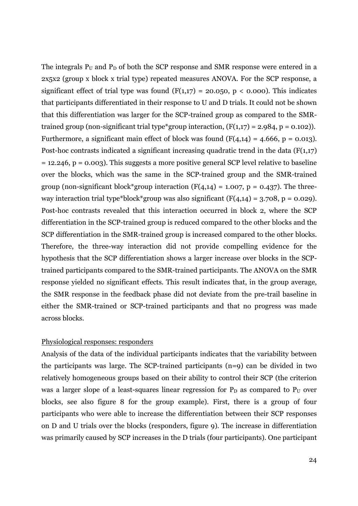The integrals  $P_U$  and  $P_D$  of both the SCP response and SMR response were entered in a 2x5x2 (group x block x trial type) repeated measures ANOVA. For the SCP response, a significant effect of trial type was found  $(F(1,17) = 20.050, p < 0.000)$ . This indicates that participants differentiated in their response to U and D trials. It could not be shown that this differentiation was larger for the SCP-trained group as compared to the SMRtrained group (non-significant trial type\*group interaction,  $(F(1,17) = 2.984, p = 0.102)$ ). Furthermore, a significant main effect of block was found  $(F(4,14) = 4.666, p = 0.013)$ . Post-hoc contrasts indicated a significant increasing quadratic trend in the data  $(F(1,17))$  $= 12.246$ ,  $p = 0.003$ ). This suggests a more positive general SCP level relative to baseline over the blocks, which was the same in the SCP-trained group and the SMR-trained group (non-significant block\*group interaction  $(F(4,14) = 1.007, p = 0.437)$ . The threeway interaction trial type\*block\*group was also significant  $(F(4,14) = 3.708, p = 0.029)$ . Post-hoc contrasts revealed that this interaction occurred in block 2, where the SCP differentiation in the SCP-trained group is reduced compared to the other blocks and the SCP differentiation in the SMR-trained group is increased compared to the other blocks. Therefore, the three-way interaction did not provide compelling evidence for the hypothesis that the SCP differentiation shows a larger increase over blocks in the SCPtrained participants compared to the SMR-trained participants. The ANOVA on the SMR response yielded no significant effects. This result indicates that, in the group average, the SMR response in the feedback phase did not deviate from the pre-trail baseline in either the SMR-trained or SCP-trained participants and that no progress was made across blocks.

#### Physiological responses: responders

Analysis of the data of the individual participants indicates that the variability between the participants was large. The SCP-trained participants (n=9) can be divided in two relatively homogeneous groups based on their ability to control their SCP (the criterion was a larger slope of a least-squares linear regression for  $P_D$  as compared to  $P_U$  over blocks, see also figure 8 for the group example). First, there is a group of four participants who were able to increase the differentiation between their SCP responses on D and U trials over the blocks (responders, figure 9). The increase in differentiation was primarily caused by SCP increases in the D trials (four participants). One participant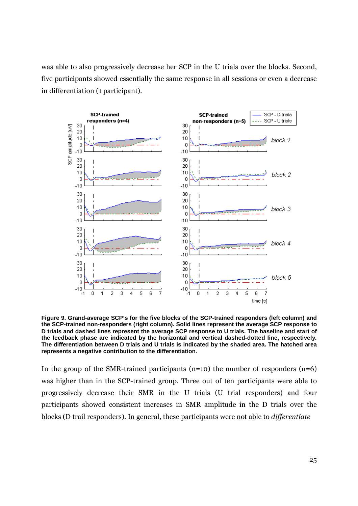was able to also progressively decrease her SCP in the U trials over the blocks. Second, five participants showed essentially the same response in all sessions or even a decrease in differentiation (1 participant).



**Figure 9. Grand-average SCP's for the five blocks of the SCP-trained responders (left column) and the SCP-trained non-responders (right column). Solid lines represent the average SCP response to D trials and dashed lines represent the average SCP response to U trials. The baseline and start of the feedback phase are indicated by the horizontal and vertical dashed-dotted line, respectively. The differentiation between D trials and U trials is indicated by the shaded area. The hatched area represents a negative contribution to the differentiation.** 

In the group of the SMR-trained participants  $(n=10)$  the number of responders  $(n=6)$ was higher than in the SCP-trained group. Three out of ten participants were able to progressively decrease their SMR in the U trials (U trial responders) and four participants showed consistent increases in SMR amplitude in the D trials over the blocks (D trail responders). In general, these participants were not able to *differentiate*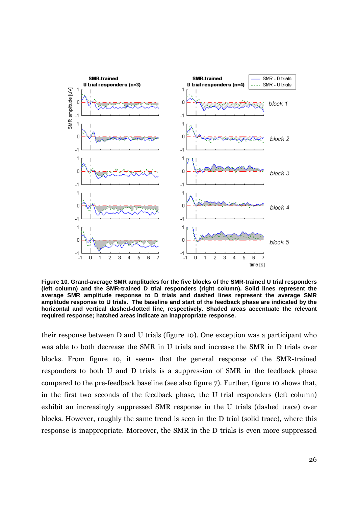

**Figure 10. Grand-average SMR amplitudes for the five blocks of the SMR-trained U trial responders (left column) and the SMR-trained D trial responders (right column). Solid lines represent the average SMR amplitude response to D trials and dashed lines represent the average SMR amplitude response to U trials. The baseline and start of the feedback phase are indicated by the horizontal and vertical dashed-dotted line, respectively. Shaded areas accentuate the relevant required response; hatched areas indicate an inappropriate response.** 

their response between D and U trials (figure 10). One exception was a participant who was able to both decrease the SMR in U trials and increase the SMR in D trials over blocks. From figure 10, it seems that the general response of the SMR-trained responders to both U and D trials is a suppression of SMR in the feedback phase compared to the pre-feedback baseline (see also figure 7). Further, figure 10 shows that, in the first two seconds of the feedback phase, the U trial responders (left column) exhibit an increasingly suppressed SMR response in the U trials (dashed trace) over blocks. However, roughly the same trend is seen in the D trial (solid trace), where this response is inappropriate. Moreover, the SMR in the D trials is even more suppressed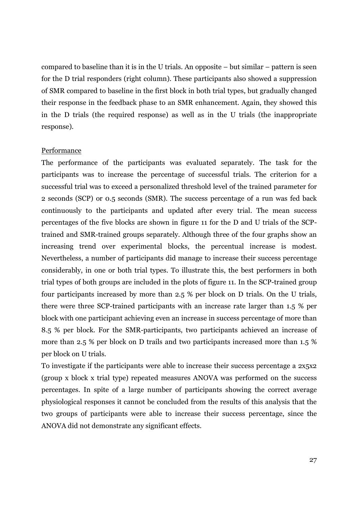compared to baseline than it is in the U trials. An opposite – but similar – pattern is seen for the D trial responders (right column). These participants also showed a suppression of SMR compared to baseline in the first block in both trial types, but gradually changed their response in the feedback phase to an SMR enhancement. Again, they showed this in the D trials (the required response) as well as in the U trials (the inappropriate response).

#### Performance

The performance of the participants was evaluated separately. The task for the participants was to increase the percentage of successful trials. The criterion for a successful trial was to exceed a personalized threshold level of the trained parameter for 2 seconds (SCP) or 0.5 seconds (SMR). The success percentage of a run was fed back continuously to the participants and updated after every trial. The mean success percentages of the five blocks are shown in figure 11 for the D and U trials of the SCPtrained and SMR-trained groups separately. Although three of the four graphs show an increasing trend over experimental blocks, the percentual increase is modest. Nevertheless, a number of participants did manage to increase their success percentage considerably, in one or both trial types. To illustrate this, the best performers in both trial types of both groups are included in the plots of figure 11. In the SCP-trained group four participants increased by more than 2.5 % per block on D trials. On the U trials, there were three SCP-trained participants with an increase rate larger than 1.5 % per block with one participant achieving even an increase in success percentage of more than 8.5 % per block. For the SMR-participants, two participants achieved an increase of more than 2.5 % per block on D trails and two participants increased more than 1.5 % per block on U trials.

To investigate if the participants were able to increase their success percentage a 2x5x2 (group x block x trial type) repeated measures ANOVA was performed on the success percentages. In spite of a large number of participants showing the correct average physiological responses it cannot be concluded from the results of this analysis that the two groups of participants were able to increase their success percentage, since the ANOVA did not demonstrate any significant effects.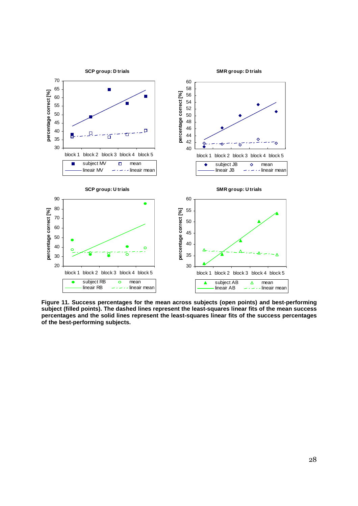

**Figure 11. Success percentages for the mean across subjects (open points) and best-performing subject (filled points). The dashed lines represent the least-squares linear fits of the mean success percentages and the solid lines represent the least-squares linear fits of the success percentages of the best-performing subjects.**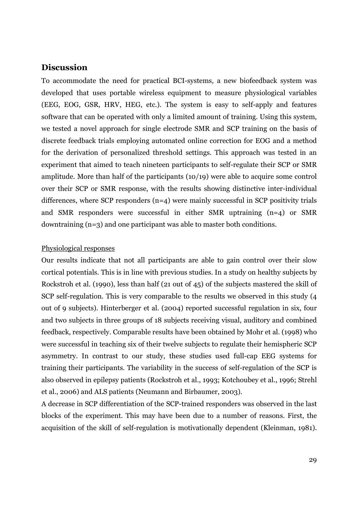## **Discussion**

To accommodate the need for practical BCI-systems, a new biofeedback system was developed that uses portable wireless equipment to measure physiological variables (EEG, EOG, GSR, HRV, HEG, etc.). The system is easy to self-apply and features software that can be operated with only a limited amount of training. Using this system, we tested a novel approach for single electrode SMR and SCP training on the basis of discrete feedback trials employing automated online correction for EOG and a method for the derivation of personalized threshold settings. This approach was tested in an experiment that aimed to teach nineteen participants to self-regulate their SCP or SMR amplitude. More than half of the participants (10/19) were able to acquire some control over their SCP or SMR response, with the results showing distinctive inter-individual differences, where SCP responders  $(n=4)$  were mainly successful in SCP positivity trials and SMR responders were successful in either SMR uptraining (n=4) or SMR downtraining (n=3) and one participant was able to master both conditions.

#### Physiological responses

Our results indicate that not all participants are able to gain control over their slow cortical potentials. This is in line with previous studies. In a study on healthy subjects by Rockstroh et al. (1990), less than half (21 out of 45) of the subjects mastered the skill of SCP self-regulation. This is very comparable to the results we observed in this study (4 out of 9 subjects). Hinterberger et al. (2004) reported successful regulation in six, four and two subjects in three groups of 18 subjects receiving visual, auditory and combined feedback, respectively. Comparable results have been obtained by Mohr et al. (1998) who were successful in teaching six of their twelve subjects to regulate their hemispheric SCP asymmetry. In contrast to our study, these studies used full-cap EEG systems for training their participants. The variability in the success of self-regulation of the SCP is also observed in epilepsy patients (Rockstroh et al., 1993; Kotchoubey et al., 1996; Strehl et al., 2006) and ALS patients (Neumann and Birbaumer, 2003).

A decrease in SCP differentiation of the SCP-trained responders was observed in the last blocks of the experiment. This may have been due to a number of reasons. First, the acquisition of the skill of self-regulation is motivationally dependent (Kleinman, 1981).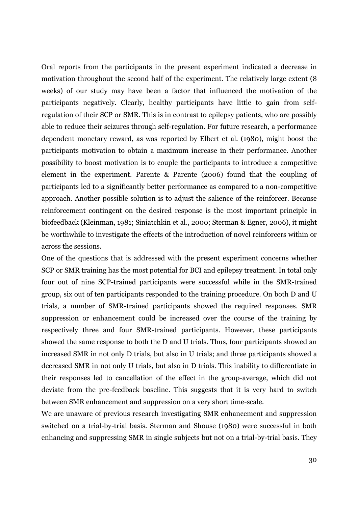Oral reports from the participants in the present experiment indicated a decrease in motivation throughout the second half of the experiment. The relatively large extent (8 weeks) of our study may have been a factor that influenced the motivation of the participants negatively. Clearly, healthy participants have little to gain from selfregulation of their SCP or SMR. This is in contrast to epilepsy patients, who are possibly able to reduce their seizures through self-regulation. For future research, a performance dependent monetary reward, as was reported by Elbert et al. (1980), might boost the participants motivation to obtain a maximum increase in their performance. Another possibility to boost motivation is to couple the participants to introduce a competitive element in the experiment. Parente & Parente (2006) found that the coupling of participants led to a significantly better performance as compared to a non-competitive approach. Another possible solution is to adjust the salience of the reinforcer. Because reinforcement contingent on the desired response is the most important principle in biofeedback (Kleinman, 1981; Siniatchkin et al., 2000; Sterman & Egner, 2006), it might be worthwhile to investigate the effects of the introduction of novel reinforcers within or across the sessions.

One of the questions that is addressed with the present experiment concerns whether SCP or SMR training has the most potential for BCI and epilepsy treatment. In total only four out of nine SCP-trained participants were successful while in the SMR-trained group, six out of ten participants responded to the training procedure. On both D and U trials, a number of SMR-trained participants showed the required responses. SMR suppression or enhancement could be increased over the course of the training by respectively three and four SMR-trained participants. However, these participants showed the same response to both the D and U trials. Thus, four participants showed an increased SMR in not only D trials, but also in U trials; and three participants showed a decreased SMR in not only U trials, but also in D trials. This inability to differentiate in their responses led to cancellation of the effect in the group-average, which did not deviate from the pre-feedback baseline. This suggests that it is very hard to switch between SMR enhancement and suppression on a very short time-scale.

We are unaware of previous research investigating SMR enhancement and suppression switched on a trial-by-trial basis. Sterman and Shouse (1980) were successful in both enhancing and suppressing SMR in single subjects but not on a trial-by-trial basis. They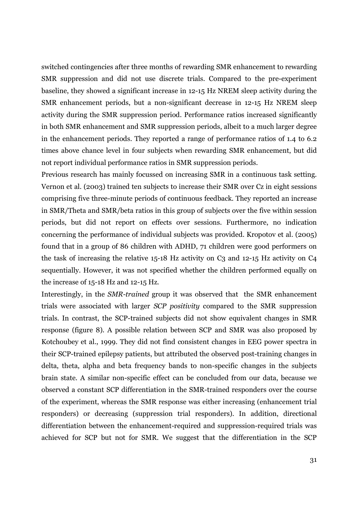switched contingencies after three months of rewarding SMR enhancement to rewarding SMR suppression and did not use discrete trials. Compared to the pre-experiment baseline, they showed a significant increase in 12-15 Hz NREM sleep activity during the SMR enhancement periods, but a non-significant decrease in 12-15 Hz NREM sleep activity during the SMR suppression period. Performance ratios increased significantly in both SMR enhancement and SMR suppression periods, albeit to a much larger degree in the enhancement periods. They reported a range of performance ratios of 1.4 to 6.2 times above chance level in four subjects when rewarding SMR enhancement, but did not report individual performance ratios in SMR suppression periods.

Previous research has mainly focussed on increasing SMR in a continuous task setting. Vernon et al. (2003) trained ten subjects to increase their SMR over Cz in eight sessions comprising five three-minute periods of continuous feedback. They reported an increase in SMR/Theta and SMR/beta ratios in this group of subjects over the five within session periods, but did not report on effects over sessions. Furthermore, no indication concerning the performance of individual subjects was provided. Kropotov et al. (2005) found that in a group of 86 children with ADHD, 71 children were good performers on the task of increasing the relative 15-18 Hz activity on C3 and 12-15 Hz activity on C4 sequentially. However, it was not specified whether the children performed equally on the increase of 15-18 Hz and 12-15 Hz.

Interestingly, in the *SMR-trained* group it was observed that the SMR enhancement trials were associated with larger *SCP positivity* compared to the SMR suppression trials. In contrast, the SCP-trained subjects did not show equivalent changes in SMR response (figure 8). A possible relation between SCP and SMR was also proposed by Kotchoubey et al., 1999. They did not find consistent changes in EEG power spectra in their SCP-trained epilepsy patients, but attributed the observed post-training changes in delta, theta, alpha and beta frequency bands to non-specific changes in the subjects brain state. A similar non-specific effect can be concluded from our data, because we observed a constant SCP differentiation in the SMR-trained responders over the course of the experiment, whereas the SMR response was either increasing (enhancement trial responders) or decreasing (suppression trial responders). In addition, directional differentiation between the enhancement-required and suppression-required trials was achieved for SCP but not for SMR. We suggest that the differentiation in the SCP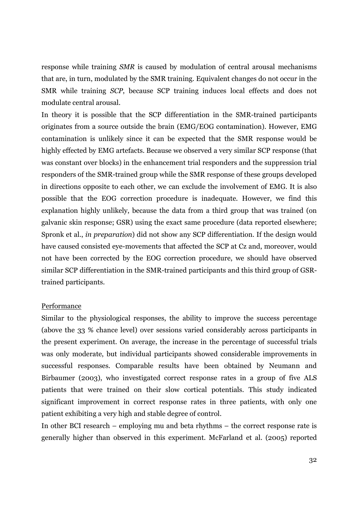response while training *SMR* is caused by modulation of central arousal mechanisms that are, in turn, modulated by the SMR training. Equivalent changes do not occur in the SMR while training *SCP*, because SCP training induces local effects and does not modulate central arousal.

In theory it is possible that the SCP differentiation in the SMR-trained participants originates from a source outside the brain (EMG/EOG contamination). However, EMG contamination is unlikely since it can be expected that the SMR response would be highly effected by EMG artefacts. Because we observed a very similar SCP response (that was constant over blocks) in the enhancement trial responders and the suppression trial responders of the SMR-trained group while the SMR response of these groups developed in directions opposite to each other, we can exclude the involvement of EMG. It is also possible that the EOG correction procedure is inadequate. However, we find this explanation highly unlikely, because the data from a third group that was trained (on galvanic skin response; GSR) using the exact same procedure (data reported elsewhere; Spronk et al., *in preparation*) did not show any SCP differentiation. If the design would have caused consisted eye-movements that affected the SCP at Cz and, moreover, would not have been corrected by the EOG correction procedure, we should have observed similar SCP differentiation in the SMR-trained participants and this third group of GSRtrained participants.

#### Performance

Similar to the physiological responses, the ability to improve the success percentage (above the 33 % chance level) over sessions varied considerably across participants in the present experiment. On average, the increase in the percentage of successful trials was only moderate, but individual participants showed considerable improvements in successful responses. Comparable results have been obtained by Neumann and Birbaumer (2003), who investigated correct response rates in a group of five ALS patients that were trained on their slow cortical potentials. This study indicated significant improvement in correct response rates in three patients, with only one patient exhibiting a very high and stable degree of control.

In other BCI research – employing mu and beta rhythms – the correct response rate is generally higher than observed in this experiment. McFarland et al. (2005) reported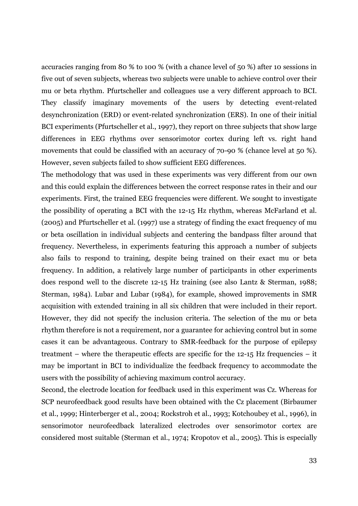accuracies ranging from 80 % to 100 % (with a chance level of 50 %) after 10 sessions in five out of seven subjects, whereas two subjects were unable to achieve control over their mu or beta rhythm. Pfurtscheller and colleagues use a very different approach to BCI. They classify imaginary movements of the users by detecting event-related desynchronization (ERD) or event-related synchronization (ERS). In one of their initial BCI experiments (Pfurtscheller et al., 1997), they report on three subjects that show large differences in EEG rhythms over sensorimotor cortex during left vs. right hand movements that could be classified with an accuracy of 70-90 % (chance level at 50 %). However, seven subjects failed to show sufficient EEG differences.

The methodology that was used in these experiments was very different from our own and this could explain the differences between the correct response rates in their and our experiments. First, the trained EEG frequencies were different. We sought to investigate the possibility of operating a BCI with the 12-15 Hz rhythm, whereas McFarland et al. (2005) and Pfurtscheller et al. (1997) use a strategy of finding the exact frequency of mu or beta oscillation in individual subjects and centering the bandpass filter around that frequency. Nevertheless, in experiments featuring this approach a number of subjects also fails to respond to training, despite being trained on their exact mu or beta frequency. In addition, a relatively large number of participants in other experiments does respond well to the discrete 12-15 Hz training (see also Lantz & Sterman, 1988; Sterman, 1984). Lubar and Lubar (1984), for example, showed improvements in SMR acquisition with extended training in all six children that were included in their report. However, they did not specify the inclusion criteria. The selection of the mu or beta rhythm therefore is not a requirement, nor a guarantee for achieving control but in some cases it can be advantageous. Contrary to SMR-feedback for the purpose of epilepsy treatment – where the therapeutic effects are specific for the 12-15 Hz frequencies – it may be important in BCI to individualize the feedback frequency to accommodate the users with the possibility of achieving maximum control accuracy.

Second, the electrode location for feedback used in this experiment was Cz. Whereas for SCP neurofeedback good results have been obtained with the Cz placement (Birbaumer et al., 1999; Hinterberger et al., 2004; Rockstroh et al., 1993; Kotchoubey et al., 1996), in sensorimotor neurofeedback lateralized electrodes over sensorimotor cortex are considered most suitable (Sterman et al., 1974; Kropotov et al., 2005). This is especially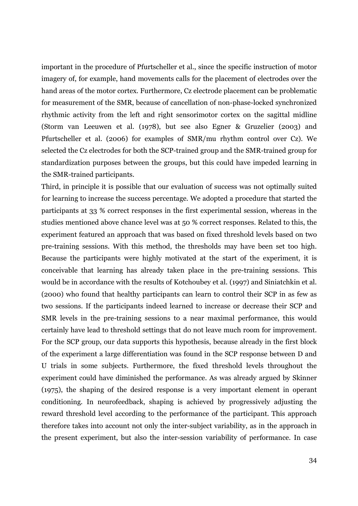important in the procedure of Pfurtscheller et al., since the specific instruction of motor imagery of, for example, hand movements calls for the placement of electrodes over the hand areas of the motor cortex. Furthermore, Cz electrode placement can be problematic for measurement of the SMR, because of cancellation of non-phase-locked synchronized rhythmic activity from the left and right sensorimotor cortex on the sagittal midline (Storm van Leeuwen et al. (1978), but see also Egner & Gruzelier (2003) and Pfurtscheller et al. (2006) for examples of SMR/mu rhythm control over Cz). We selected the Cz electrodes for both the SCP-trained group and the SMR-trained group for standardization purposes between the groups, but this could have impeded learning in the SMR-trained participants.

Third, in principle it is possible that our evaluation of success was not optimally suited for learning to increase the success percentage. We adopted a procedure that started the participants at 33 % correct responses in the first experimental session, whereas in the studies mentioned above chance level was at 50 % correct responses. Related to this, the experiment featured an approach that was based on fixed threshold levels based on two pre-training sessions. With this method, the thresholds may have been set too high. Because the participants were highly motivated at the start of the experiment, it is conceivable that learning has already taken place in the pre-training sessions. This would be in accordance with the results of Kotchoubey et al. (1997) and Siniatchkin et al. (2000) who found that healthy participants can learn to control their SCP in as few as two sessions. If the participants indeed learned to increase or decrease their SCP and SMR levels in the pre-training sessions to a near maximal performance, this would certainly have lead to threshold settings that do not leave much room for improvement. For the SCP group, our data supports this hypothesis, because already in the first block of the experiment a large differentiation was found in the SCP response between D and U trials in some subjects. Furthermore, the fixed threshold levels throughout the experiment could have diminished the performance. As was already argued by Skinner (1975), the shaping of the desired response is a very important element in operant conditioning. In neurofeedback, shaping is achieved by progressively adjusting the reward threshold level according to the performance of the participant. This approach therefore takes into account not only the inter-subject variability, as in the approach in the present experiment, but also the inter-session variability of performance. In case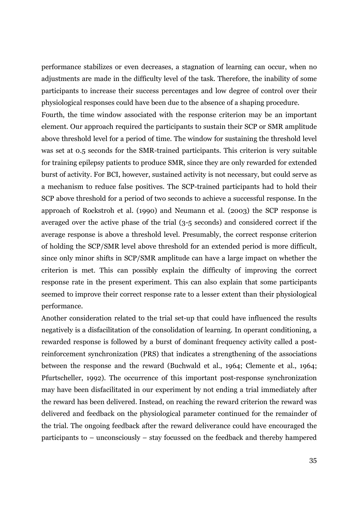performance stabilizes or even decreases, a stagnation of learning can occur, when no adjustments are made in the difficulty level of the task. Therefore, the inability of some participants to increase their success percentages and low degree of control over their physiological responses could have been due to the absence of a shaping procedure.

Fourth, the time window associated with the response criterion may be an important element. Our approach required the participants to sustain their SCP or SMR amplitude above threshold level for a period of time. The window for sustaining the threshold level was set at 0.5 seconds for the SMR-trained participants. This criterion is very suitable for training epilepsy patients to produce SMR, since they are only rewarded for extended burst of activity. For BCI, however, sustained activity is not necessary, but could serve as a mechanism to reduce false positives. The SCP-trained participants had to hold their SCP above threshold for a period of two seconds to achieve a successful response. In the approach of Rockstroh et al. (1990) and Neumann et al. (2003) the SCP response is averaged over the active phase of the trial (3-5 seconds) and considered correct if the average response is above a threshold level. Presumably, the correct response criterion of holding the SCP/SMR level above threshold for an extended period is more difficult, since only minor shifts in SCP/SMR amplitude can have a large impact on whether the criterion is met. This can possibly explain the difficulty of improving the correct response rate in the present experiment. This can also explain that some participants seemed to improve their correct response rate to a lesser extent than their physiological performance.

Another consideration related to the trial set-up that could have influenced the results negatively is a disfacilitation of the consolidation of learning. In operant conditioning, a rewarded response is followed by a burst of dominant frequency activity called a postreinforcement synchronization (PRS) that indicates a strengthening of the associations between the response and the reward (Buchwald et al., 1964; Clemente et al., 1964; Pfurtscheller, 1992). The occurrence of this important post-response synchronization may have been disfacilitated in our experiment by not ending a trial immediately after the reward has been delivered. Instead, on reaching the reward criterion the reward was delivered and feedback on the physiological parameter continued for the remainder of the trial. The ongoing feedback after the reward deliverance could have encouraged the participants to – unconsciously – stay focussed on the feedback and thereby hampered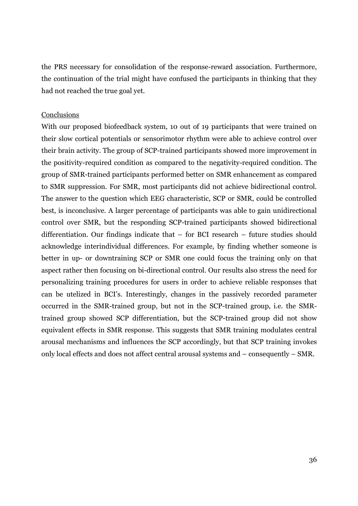the PRS necessary for consolidation of the response-reward association. Furthermore, the continuation of the trial might have confused the participants in thinking that they had not reached the true goal yet.

#### **Conclusions**

With our proposed biofeedback system, 10 out of 19 participants that were trained on their slow cortical potentials or sensorimotor rhythm were able to achieve control over their brain activity. The group of SCP-trained participants showed more improvement in the positivity-required condition as compared to the negativity-required condition. The group of SMR-trained participants performed better on SMR enhancement as compared to SMR suppression. For SMR, most participants did not achieve bidirectional control. The answer to the question which EEG characteristic, SCP or SMR, could be controlled best, is inconclusive. A larger percentage of participants was able to gain unidirectional control over SMR, but the responding SCP-trained participants showed bidirectional differentiation. Our findings indicate that – for BCI research – future studies should acknowledge interindividual differences. For example, by finding whether someone is better in up- or downtraining SCP or SMR one could focus the training only on that aspect rather then focusing on bi-directional control. Our results also stress the need for personalizing training procedures for users in order to achieve reliable responses that can be utelized in BCI's. Interestingly, changes in the passively recorded parameter occurred in the SMR-trained group, but not in the SCP-trained group, i.e. the SMRtrained group showed SCP differentiation, but the SCP-trained group did not show equivalent effects in SMR response. This suggests that SMR training modulates central arousal mechanisms and influences the SCP accordingly, but that SCP training invokes only local effects and does not affect central arousal systems and – consequently – SMR.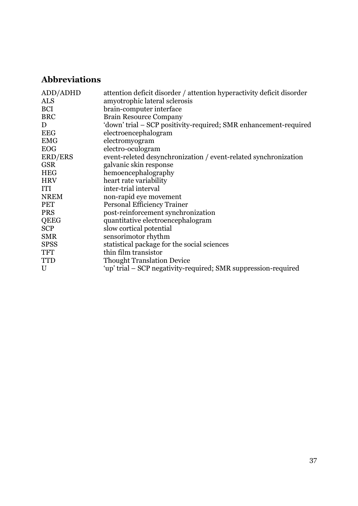## **Abbreviations**

| ADD/ADHD    | attention deficit disorder / attention hyperactivity deficit disorder |
|-------------|-----------------------------------------------------------------------|
| <b>ALS</b>  | amyotrophic lateral sclerosis                                         |
| <b>BCI</b>  | brain-computer interface                                              |
| <b>BRC</b>  | <b>Brain Resource Company</b>                                         |
| D           | 'down' trial – SCP positivity-required; SMR enhancement-required      |
| <b>EEG</b>  | electroencephalogram                                                  |
| <b>EMG</b>  | electromyogram                                                        |
| <b>EOG</b>  | electro-oculogram                                                     |
| ERD/ERS     | event-releted desynchronization / event-related synchronization       |
| <b>GSR</b>  | galvanic skin response                                                |
| <b>HEG</b>  | hemoencephalography                                                   |
| <b>HRV</b>  | heart rate variability                                                |
| ITI         | inter-trial interval                                                  |
| <b>NREM</b> | non-rapid eye movement                                                |
| <b>PET</b>  | Personal Efficiency Trainer                                           |
| <b>PRS</b>  | post-reinforcement synchronization                                    |
| QEEG        | quantitative electroencephalogram                                     |
| <b>SCP</b>  | slow cortical potential                                               |
| <b>SMR</b>  | sensorimotor rhythm                                                   |
| <b>SPSS</b> | statistical package for the social sciences                           |
| <b>TFT</b>  | thin film transistor                                                  |
| <b>TTD</b>  | <b>Thought Translation Device</b>                                     |
| U           | 'up' trial – SCP negativity-required; SMR suppression-required        |
|             |                                                                       |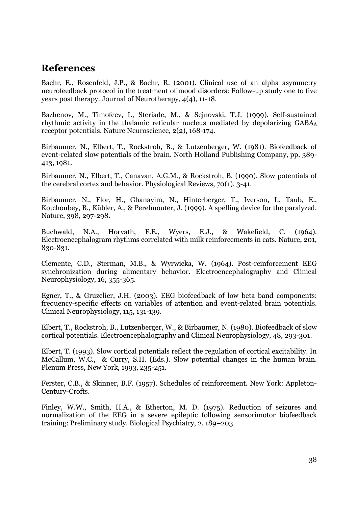## **References**

Baehr, E., Rosenfeld, J.P., & Baehr, R. (2001). Clinical use of an alpha asymmetry neurofeedback protocol in the treatment of mood disorders: Follow-up study one to five years post therapy. Journal of Neurotherapy, 4(4), 11-18.

Bazhenov, M., Timofeev, I., Steriade, M., & Sejnovski, T.J. (1999). Self-sustained rhythmic activity in the thalamic reticular nucleus mediated by depolarizing GABA<sup>A</sup> receptor potentials. Nature Neuroscience, 2(2), 168-174.

Birbaumer, N., Elbert, T., Rockstroh, B., & Lutzenberger, W. (1981). Biofeedback of event-related slow potentials of the brain. North Holland Publishing Company, pp. 389- 413, 1981.

Birbaumer, N., Elbert, T., Canavan, A.G.M., & Rockstroh, B. (1990). Slow potentials of the cerebral cortex and behavior. Physiological Reviews, 70(1), 3-41.

Birbaumer, N., Flor, H., Ghanayim, N., Hinterberger, T., Iverson, I., Taub, E., Kotchoubey, B., Kübler, A., & Perelmouter, J. (1999). A spelling device for the paralyzed. Nature, 398, 297-298.

Buchwald, N.A., Horvath, F.E., Wyers, E.J., & Wakefield, C. (1964). Electroencephalogram rhythms correlated with milk reinforcements in cats. Nature, 201, 830-831.

Clemente, C.D., Sterman, M.B., & Wyrwicka, W. (1964). Post-reinforcement EEG synchronization during alimentary behavior. Electroencephalography and Clinical Neurophysiology, 16, 355-365.

Egner, T., & Gruzelier, J.H. (2003). EEG biofeedback of low beta band components: frequency-specific effects on variables of attention and event-related brain potentials. Clinical Neurophysiology, 115, 131-139.

Elbert, T., Rockstroh, B., Lutzenberger, W., & Birbaumer, N. (1980). Biofeedback of slow cortical potentials. Electroencephalography and Clinical Neurophysiology, 48, 293-301.

Elbert, T. (1993). Slow cortical potentials reflect the regulation of cortical excitability. In McCallum, W.C., & Curry, S.H. (Eds.). Slow potential changes in the human brain. Plenum Press, New York, 1993, 235-251.

Ferster, C.B., & Skinner, B.F. (1957). Schedules of reinforcement. New York: Appleton-Century-Crofts.

Finley, W.W., Smith, H.A., & Etherton, M. D. (1975). Reduction of seizures and normalization of the EEG in a severe epileptic following sensorimotor biofeedback training: Preliminary study. Biological Psychiatry, 2, 189–203.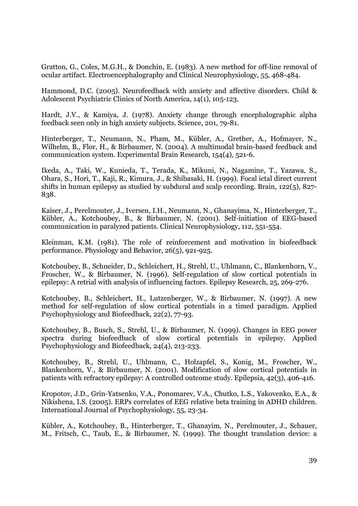Gratton, G., Coles, M.G.H., & Donchin, E. (1983). A new method for off-line removal of ocular artifact. Electroencephalography and Clinical Neurophysiology, 55, 468-484.

Hammond, D.C. (2005). Neurofeedback with anxiety and affective disorders. Child & Adolescent Psychiatric Clinics of North America, 14(1), 105-123.

Hardt, J.V., & Kamiya, J. (1978). Anxiety change through encephalographic alpha feedback seen only in high anxiety subjects. Science, 201, 79-81.

Hinterberger, T., Neumann, N., Pham, M., Kübler, A., Grether, A., Hofmayer, N., Wilhelm, B., Flor, H., & Birbaumer, N. (2004). A multimodal brain-based feedback and communication system. Experimental Brain Research, 154(4), 521-6.

Ikeda, A., Taki, W., Kunieda, T., Terada, K., Mikuni, N., Nagamine, T., Yazawa, S., Ohara, S., Hori, T., Kaji, R., Kimura, J., & Shibasaki, H. (1999). Focal ictal direct current shifts in human epilepsy as studied by subdural and scalp recording. Brain, 122(5), 827- 838.

Kaiser, J., Perelmouter, J., Iversen, I.H., Neumann, N., Ghanayima, N., Hinterberger, T., Kübler, A., Kotchoubey, B., & Birbaumer, N. (2001). Self-initiation of EEG-based communication in paralyzed patients. Clinical Neurophysiology, 112, 551-554.

Kleinman, K.M. (1981). The role of reinforcement and motivation in biofeedback performance. Physiology and Behavior, 26(5), 921-925.

Kotchoubey, B., Schneider, D., Schleichert, H., Strehl, U., Uhlmann, C., Blankenhorn, V., Froscher, W., & Birbaumer, N. (1996). Self-regulation of slow cortical potentials in epilepsy: A retrial with analysis of influencing factors. Epilepsy Research, 25, 269-276.

Kotchoubey, B., Schleichert, H., Lutzenberger, W., & Birbaumer, N. (1997). A new method for self-regulation of slow cortical potentials in a timed paradigm. Applied Psychophysiology and Biofeedback, 22(2), 77-93.

Kotchoubey, B., Busch, S., Strehl, U., & Birbaumer, N. (1999). Changes in EEG power spectra during biofeedback of slow cortical potentials in epilepsy. Applied Psychophysiology and Biofeedback, 24(4), 213-233.

Kotchoubey, B., Strehl, U., Uhlmann, C., Holzapfel, S., Konig, M., Froscher, W., Blankenhorn, V., & Birbaumer, N. (2001). Modification of slow cortical potentials in patients with refractory epilepsy: A controlled outcome study. Epilepsia, 42(3), 406-416.

Kropotov, J.D., Grin-Yatsenko, V.A., Ponomarev, V.A., Chutko, L.S., Yakovenko, E.A., & Nikishena, I.S. (2005). ERPs correlates of EEG relative beta training in ADHD children. International Journal of Psychophysiology, 55, 23-34.

Kübler, A., Kotchoubey, B., Hinterberger, T., Ghanayim, N., Perelmouter, J., Schauer, M., Fritsch, C., Taub, E., & Birbaumer, N. (1999). The thought translation device: a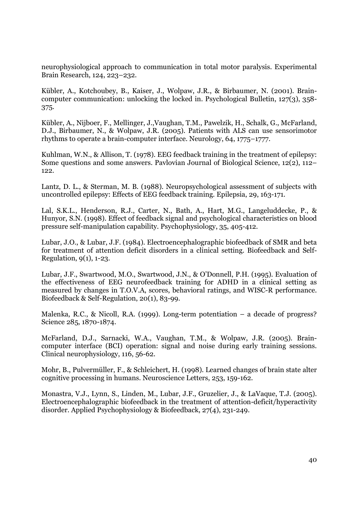neurophysiological approach to communication in total motor paralysis. Experimental Brain Research, 124, 223–232.

Kübler, A., Kotchoubey, B., Kaiser, J., Wolpaw, J.R., & Birbaumer, N. (2001). Braincomputer communication: unlocking the locked in. Psychological Bulletin, 127(3), 358- 375.

Kübler, A., Nijboer, F., Mellinger, J.,Vaughan, T.M., Pawelzik, H., Schalk, G., McFarland, D.J., Birbaumer, N., & Wolpaw, J.R. (2005). Patients with ALS can use sensorimotor rhythms to operate a brain-computer interface. Neurology, 64, 1775–1777.

Kuhlman, W.N., & Allison, T. (1978). EEG feedback training in the treatment of epilepsy: Some questions and some answers. Pavlovian Journal of Biological Science, 12(2), 112– 122.

Lantz, D. L., & Sterman, M. B. (1988). Neuropsychological assessment of subjects with uncontrolled epilepsy: Effects of EEG feedback training. Epilepsia, 29, 163-171.

Lal, S.K.L., Henderson, R.J., Carter, N., Bath, A., Hart, M.G., Langeluddecke, P., & Hunyor, S.N. (1998). Effect of feedback signal and psychological characteristics on blood pressure self-manipulation capability. Psychophysiology, 35, 405-412.

Lubar, J.O., & Lubar, J.F. (1984). Electroencephalographic biofeedback of SMR and beta for treatment of attention deficit disorders in a clinical setting. Biofeedback and Self-Regulation, 9(1), 1-23.

Lubar, J.F., Swartwood, M.O., Swartwood, J.N., & O'Donnell, P.H. (1995). Evaluation of the effectiveness of EEG neurofeedback training for ADHD in a clinical setting as measured by changes in T.O.V.A, scores, behavioral ratings, and WISC-R performance. Biofeedback & Self-Regulation, 20(1), 83-99.

Malenka, R.C., & Nicoll, R.A. (1999). Long-term potentiation – a decade of progress? Science 285, 1870-1874.

McFarland, D.J., Sarnacki, W.A., Vaughan, T.M., & Wolpaw, J.R. (2005). Braincomputer interface (BCI) operation: signal and noise during early training sessions. Clinical neurophysiology, 116, 56-62.

Mohr, B., Pulvermüller, F., & Schleichert, H. (1998). Learned changes of brain state alter cognitive processing in humans. Neuroscience Letters, 253, 159-162.

Monastra, V.J., Lynn, S., Linden, M., Lubar, J.F., Gruzelier, J., & LaVaque, T.J. (2005). Electroencephalographic biofeedback in the treatment of attention-deficit/hyperactivity disorder. Applied Psychophysiology & Biofeedback, 27(4), 231-249.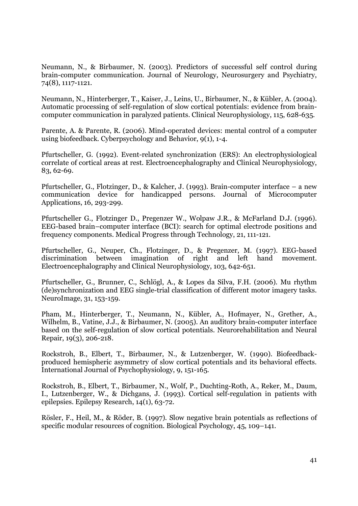Neumann, N., & Birbaumer, N. (2003). Predictors of successful self control during brain-computer communication. Journal of Neurology, Neurosurgery and Psychiatry, 74(8), 1117-1121.

Neumann, N., Hinterberger, T., Kaiser, J., Leins, U., Birbaumer, N., & Kübler, A. (2004). Automatic processing of self-regulation of slow cortical potentials: evidence from braincomputer communication in paralyzed patients. Clinical Neurophysiology, 115, 628-635.

Parente, A. & Parente, R. (2006). Mind-operated devices: mental control of a computer using biofeedback. Cyberpsychology and Behavior, 9(1), 1-4.

Pfurtscheller, G. (1992). Event-related synchronization (ERS): An electrophysiological correlate of cortical areas at rest. Electroencephalography and Clinical Neurophysiology, 83, 62-69.

Pfurtscheller, G., Flotzinger, D., & Kalcher, J. (1993). Brain-computer interface – a new communication device for handicapped persons. Journal of Microcomputer Applications, 16, 293-299.

Pfurtscheller G., Flotzinger D., Pregenzer W., Wolpaw J.R., & McFarland D.J. (1996). EEG-based brain–computer interface (BCI): search for optimal electrode positions and frequency components. Medical Progress through Technology, 21, 111-121.

Pfurtscheller, G., Neuper, Ch., Flotzinger, D., & Pregenzer, M. (1997). EEG-based discrimination between imagination of right and left hand movement. Electroencephalography and Clinical Neurophysiology, 103, 642-651.

Pfurtscheller, G., Brunner, C., Schlögl, A., & Lopes da Silva, F.H. (2006). Mu rhythm (de)synchronization and EEG single-trial classification of different motor imagery tasks. NeuroImage, 31, 153-159.

Pham, M., Hinterberger, T., Neumann, N., Kübler, A., Hofmayer, N., Grether, A., Wilhelm, B., Vatine, J.J., & Birbaumer, N. (2005). An auditory brain-computer interface based on the self-regulation of slow cortical potentials. Neurorehabilitation and Neural Repair, 19(3), 206-218.

Rockstroh, B., Elbert, T., Birbaumer, N., & Lutzenberger, W. (1990). Biofeedbackproduced hemispheric asymmetry of slow cortical potentials and its behavioral effects. International Journal of Psychophysiology, 9, 151-165.

Rockstroh, B., Elbert, T., Birbaumer, N., Wolf, P., Duchting-Roth, A., Reker, M., Daum, I., Lutzenberger, W., & Dichgans, J. (1993). Cortical self-regulation in patients with epilepsies. Epilepsy Research, 14(1), 63-72.

Rösler, F., Heil, M., & Röder, B. (1997). Slow negative brain potentials as reflections of specific modular resources of cognition. Biological Psychology, 45, 109–141.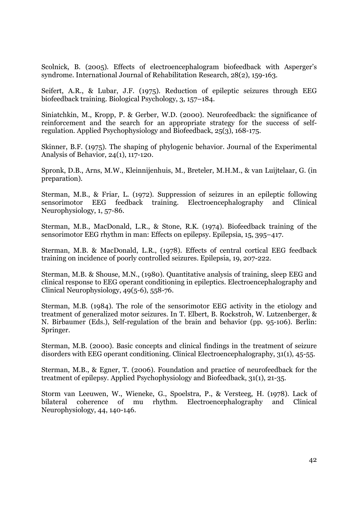Scolnick, B. (2005). Effects of electroencephalogram biofeedback with Asperger's syndrome. International Journal of Rehabilitation Research, 28(2), 159-163.

Seifert, A.R., & Lubar, J.F. (1975). Reduction of epileptic seizures through EEG biofeedback training. Biological Psychology, 3, 157–184.

Siniatchkin, M., Kropp, P. & Gerber, W.D. (2000). Neurofeedback: the significance of reinforcement and the search for an appropriate strategy for the success of selfregulation. Applied Psychophysiology and Biofeedback, 25(3), 168-175.

Skinner, B.F. (1975). The shaping of phylogenic behavior. Journal of the Experimental Analysis of Behavior, 24(1), 117-120.

Spronk, D.B., Arns, M.W., Kleinnijenhuis, M., Breteler, M.H.M., & van Luijtelaar, G. (in preparation).

Sterman, M.B., & Friar, L. (1972). Suppression of seizures in an epileptic following sensorimotor EEG feedback training. Electroencephalography and Clinical Neurophysiology, 1, 57-86.

Sterman, M.B., MacDonald, L.R., & Stone, R.K. (1974). Biofeedback training of the sensorimotor EEG rhythm in man: Effects on epilepsy. Epilepsia, 15, 395–417.

Sterman, M.B. & MacDonald, L.R., (1978). Effects of central cortical EEG feedback training on incidence of poorly controlled seizures. Epilepsia, 19, 207-222.

Sterman, M.B. & Shouse, M.N., (1980). Quantitative analysis of training, sleep EEG and clinical response to EEG operant conditioning in epileptics. Electroencephalography and Clinical Neurophysiology, 49(5-6), 558-76.

Sterman, M.B. (1984). The role of the sensorimotor EEG activity in the etiology and treatment of generalized motor seizures. In T. Elbert, B. Rockstroh, W. Lutzenberger, & N. Birbaumer (Eds.), Self-regulation of the brain and behavior (pp. 95-106). Berlin: Springer.

Sterman, M.B. (2000). Basic concepts and clinical findings in the treatment of seizure disorders with EEG operant conditioning. Clinical Electroencephalography, 31(1), 45-55.

Sterman, M.B., & Egner, T. (2006). Foundation and practice of neurofeedback for the treatment of epilepsy. Applied Psychophysiology and Biofeedback, 31(1), 21-35.

Storm van Leeuwen, W., Wieneke, G., Spoelstra, P., & Versteeg, H. (1978). Lack of bilateral coherence of mu rhythm. Electroencephalography and Neurophysiology, 44, 140-146.